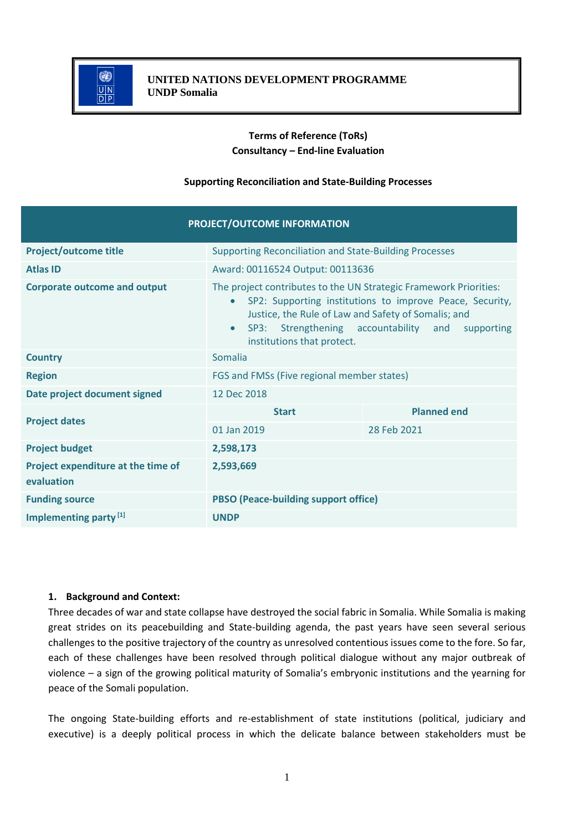

# **Terms of Reference (ToRs) Consultancy – End-line Evaluation**

## **Supporting Reconciliation and State-Building Processes**

| PROJECT/OUTCOME INFORMATION                      |                                                                                                                                                                                                                                                                                                     |                    |  |  |  |  |
|--------------------------------------------------|-----------------------------------------------------------------------------------------------------------------------------------------------------------------------------------------------------------------------------------------------------------------------------------------------------|--------------------|--|--|--|--|
| <b>Project/outcome title</b>                     | <b>Supporting Reconciliation and State-Building Processes</b>                                                                                                                                                                                                                                       |                    |  |  |  |  |
| <b>Atlas ID</b>                                  | Award: 00116524 Output: 00113636                                                                                                                                                                                                                                                                    |                    |  |  |  |  |
| <b>Corporate outcome and output</b>              | The project contributes to the UN Strategic Framework Priorities:<br>SP2: Supporting institutions to improve Peace, Security,<br>$\bullet$<br>Justice, the Rule of Law and Safety of Somalis; and<br>Strengthening accountability and supporting<br>SP3:<br>$\bullet$<br>institutions that protect. |                    |  |  |  |  |
| <b>Country</b>                                   | Somalia                                                                                                                                                                                                                                                                                             |                    |  |  |  |  |
| <b>Region</b>                                    | FGS and FMSs (Five regional member states)                                                                                                                                                                                                                                                          |                    |  |  |  |  |
| Date project document signed                     | 12 Dec 2018                                                                                                                                                                                                                                                                                         |                    |  |  |  |  |
| <b>Project dates</b>                             | <b>Start</b>                                                                                                                                                                                                                                                                                        | <b>Planned end</b> |  |  |  |  |
|                                                  | 01 Jan 2019                                                                                                                                                                                                                                                                                         | 28 Feb 2021        |  |  |  |  |
| <b>Project budget</b>                            | 2,598,173                                                                                                                                                                                                                                                                                           |                    |  |  |  |  |
| Project expenditure at the time of<br>evaluation | 2,593,669                                                                                                                                                                                                                                                                                           |                    |  |  |  |  |
| <b>Funding source</b>                            | <b>PBSO (Peace-building support office)</b>                                                                                                                                                                                                                                                         |                    |  |  |  |  |
| Implementing party <sup>[1]</sup>                | <b>UNDP</b>                                                                                                                                                                                                                                                                                         |                    |  |  |  |  |

## **1. Background and Context:**

Three decades of war and state collapse have destroyed the social fabric in Somalia. While Somalia is making great strides on its peacebuilding and State-building agenda, the past years have seen several serious challenges to the positive trajectory of the country as unresolved contentious issues come to the fore. So far, each of these challenges have been resolved through political dialogue without any major outbreak of violence – a sign of the growing political maturity of Somalia's embryonic institutions and the yearning for peace of the Somali population.

The ongoing State-building efforts and re-establishment of state institutions (political, judiciary and executive) is a deeply political process in which the delicate balance between stakeholders must be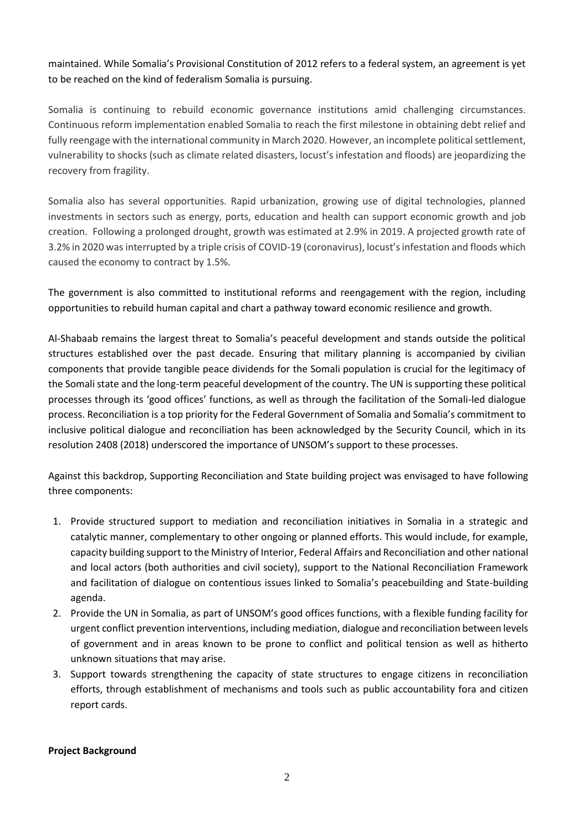maintained. While Somalia's Provisional Constitution of 2012 refers to a federal system, an agreement is yet to be reached on the kind of federalism Somalia is pursuing.

Somalia is continuing to rebuild economic governance institutions amid challenging circumstances. Continuous reform implementation enabled Somalia to reach the first milestone in obtaining debt relief and fully reengage with the international community in March 2020. However, an incomplete political settlement, vulnerability to shocks (such as climate related disasters, locust's infestation and floods) are jeopardizing the recovery from fragility.

Somalia also has several opportunities. Rapid urbanization, growing use of digital technologies, planned investments in sectors such as energy, ports, education and health can support economic growth and job creation. Following a prolonged drought, growth was estimated at 2.9% in 2019. A projected growth rate of 3.2% in 2020 was interrupted by a triple crisis of COVID-19 (coronavirus), locust's infestation and floods which caused the economy to contract by 1.5%.

The government is also committed to institutional reforms and reengagement with the region, including opportunities to rebuild human capital and chart a pathway toward economic resilience and growth.

Al-Shabaab remains the largest threat to Somalia's peaceful development and stands outside the political structures established over the past decade. Ensuring that military planning is accompanied by civilian components that provide tangible peace dividends for the Somali population is crucial for the legitimacy of the Somali state and the long-term peaceful development of the country. The UN is supporting these political processes through its 'good offices' functions, as well as through the facilitation of the Somali-led dialogue process. Reconciliation is a top priority for the Federal Government of Somalia and Somalia's commitment to inclusive political dialogue and reconciliation has been acknowledged by the Security Council, which in its resolution 2408 (2018) underscored the importance of UNSOM's support to these processes.

Against this backdrop, Supporting Reconciliation and State building project was envisaged to have following three components:

- 1. Provide structured support to mediation and reconciliation initiatives in Somalia in a strategic and catalytic manner, complementary to other ongoing or planned efforts. This would include, for example, capacity building support to the Ministry of Interior, Federal Affairs and Reconciliation and other national and local actors (both authorities and civil society), support to the National Reconciliation Framework and facilitation of dialogue on contentious issues linked to Somalia's peacebuilding and State-building agenda.
- 2. Provide the UN in Somalia, as part of UNSOM's good offices functions, with a flexible funding facility for urgent conflict prevention interventions, including mediation, dialogue and reconciliation between levels of government and in areas known to be prone to conflict and political tension as well as hitherto unknown situations that may arise.
- 3. Support towards strengthening the capacity of state structures to engage citizens in reconciliation efforts, through establishment of mechanisms and tools such as public accountability fora and citizen report cards.

#### **Project Background**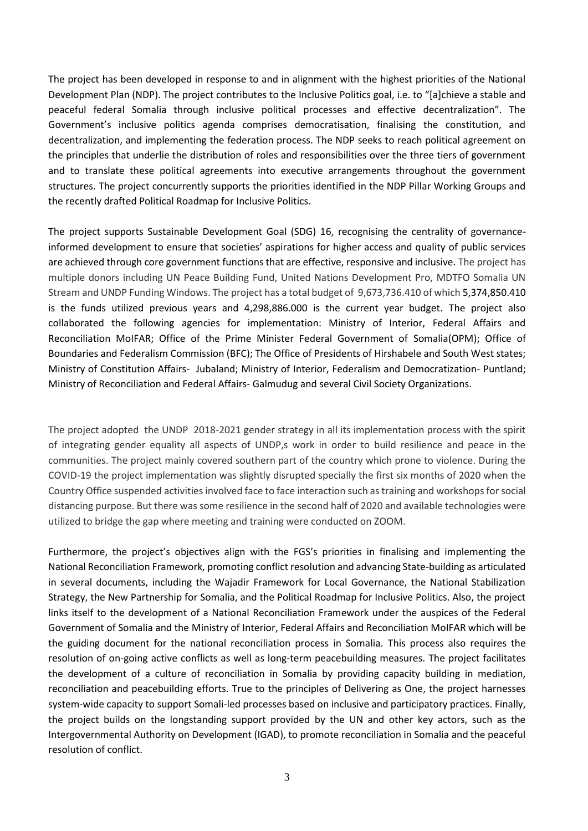The project has been developed in response to and in alignment with the highest priorities of the National Development Plan (NDP). The project contributes to the Inclusive Politics goal, i.e. to "[a]chieve a stable and peaceful federal Somalia through inclusive political processes and effective decentralization". The Government's inclusive politics agenda comprises democratisation, finalising the constitution, and decentralization, and implementing the federation process. The NDP seeks to reach political agreement on the principles that underlie the distribution of roles and responsibilities over the three tiers of government and to translate these political agreements into executive arrangements throughout the government structures. The project concurrently supports the priorities identified in the NDP Pillar Working Groups and the recently drafted Political Roadmap for Inclusive Politics.

The project supports Sustainable Development Goal (SDG) 16, recognising the centrality of governanceinformed development to ensure that societies' aspirations for higher access and quality of public services are achieved through core government functions that are effective, responsive and inclusive. The project has multiple donors including UN Peace Building Fund, United Nations Development Pro, MDTFO Somalia UN Stream and UNDP Funding Windows. The project has a total budget of 9,673,736.410 of which 5,374,850.410 is the funds utilized previous years and 4,298,886.000 is the current year budget. The project also collaborated the following agencies for implementation: Ministry of Interior, Federal Affairs and Reconciliation MoIFAR; Office of the Prime Minister Federal Government of Somalia(OPM); Office of Boundaries and Federalism Commission (BFC); The Office of Presidents of Hirshabele and South West states; Ministry of Constitution Affairs- Jubaland; Ministry of Interior, Federalism and Democratization- Puntland; Ministry of Reconciliation and Federal Affairs- Galmudug and several Civil Society Organizations.

The project adopted the UNDP 2018-2021 gender strategy in all its implementation process with the spirit of integrating gender equality all aspects of UNDP,s work in order to build resilience and peace in the communities. The project mainly covered southern part of the country which prone to violence. During the COVID-19 the project implementation was slightly disrupted specially the first six months of 2020 when the Country Office suspended activities involved face to face interaction such as training and workshops for social distancing purpose. But there was some resilience in the second half of 2020 and available technologies were utilized to bridge the gap where meeting and training were conducted on ZOOM.

Furthermore, the project's objectives align with the FGS's priorities in finalising and implementing the National Reconciliation Framework, promoting conflict resolution and advancing State-building as articulated in several documents, including the Wajadir Framework for Local Governance, the National Stabilization Strategy, the New Partnership for Somalia, and the Political Roadmap for Inclusive Politics. Also, the project links itself to the development of a National Reconciliation Framework under the auspices of the Federal Government of Somalia and the Ministry of Interior, Federal Affairs and Reconciliation MoIFAR which will be the guiding document for the national reconciliation process in Somalia. This process also requires the resolution of on-going active conflicts as well as long-term peacebuilding measures. The project facilitates the development of a culture of reconciliation in Somalia by providing capacity building in mediation, reconciliation and peacebuilding efforts. True to the principles of Delivering as One, the project harnesses system-wide capacity to support Somali-led processes based on inclusive and participatory practices. Finally, the project builds on the longstanding support provided by the UN and other key actors, such as the Intergovernmental Authority on Development (IGAD), to promote reconciliation in Somalia and the peaceful resolution of conflict.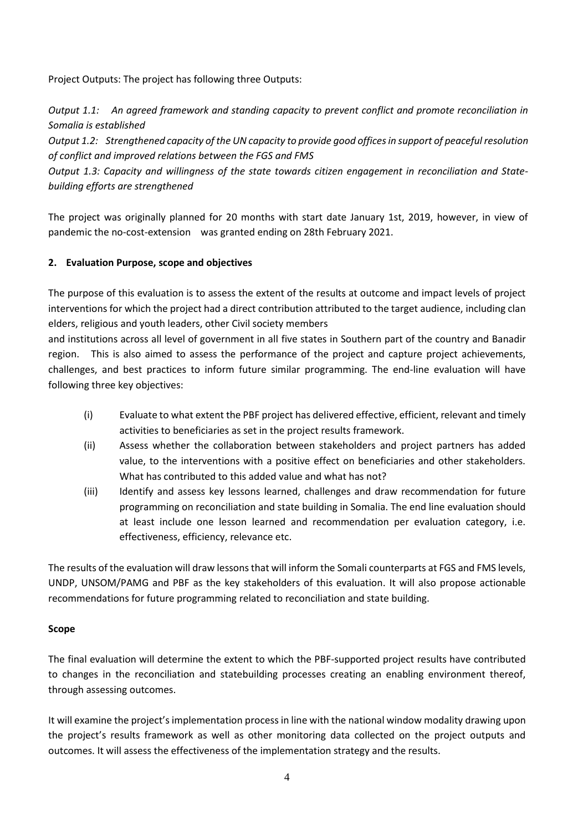Project Outputs: The project has following three Outputs:

*Output 1.1: An agreed framework and standing capacity to prevent conflict and promote reconciliation in Somalia is established*

*Output 1.2: Strengthened capacity of the UN capacity to provide good offices in support of peaceful resolution of conflict and improved relations between the FGS and FMS*

*Output 1.3: Capacity and willingness of the state towards citizen engagement in reconciliation and Statebuilding efforts are strengthened*

The project was originally planned for 20 months with start date January 1st, 2019, however, in view of pandemic the no-cost-extension was granted ending on 28th February 2021.

## **2. Evaluation Purpose, scope and objectives**

The purpose of this evaluation is to assess the extent of the results at outcome and impact levels of project interventions for which the project had a direct contribution attributed to the target audience, including clan elders, religious and youth leaders, other Civil society members

and institutions across all level of government in all five states in Southern part of the country and Banadir region. This is also aimed to assess the performance of the project and capture project achievements, challenges, and best practices to inform future similar programming. The end-line evaluation will have following three key objectives:

- (i) Evaluate to what extent the PBF project has delivered effective, efficient, relevant and timely activities to beneficiaries as set in the project results framework.
- (ii) Assess whether the collaboration between stakeholders and project partners has added value, to the interventions with a positive effect on beneficiaries and other stakeholders. What has contributed to this added value and what has not?
- (iii) Identify and assess key lessons learned, challenges and draw recommendation for future programming on reconciliation and state building in Somalia. The end line evaluation should at least include one lesson learned and recommendation per evaluation category, i.e. effectiveness, efficiency, relevance etc.

The results of the evaluation will draw lessons that will inform the Somali counterparts at FGS and FMS levels, UNDP, UNSOM/PAMG and PBF as the key stakeholders of this evaluation. It will also propose actionable recommendations for future programming related to reconciliation and state building.

## **Scope**

The final evaluation will determine the extent to which the PBF-supported project results have contributed to changes in the reconciliation and statebuilding processes creating an enabling environment thereof, through assessing outcomes.

It will examine the project's implementation process in line with the national window modality drawing upon the project's results framework as well as other monitoring data collected on the project outputs and outcomes. It will assess the effectiveness of the implementation strategy and the results.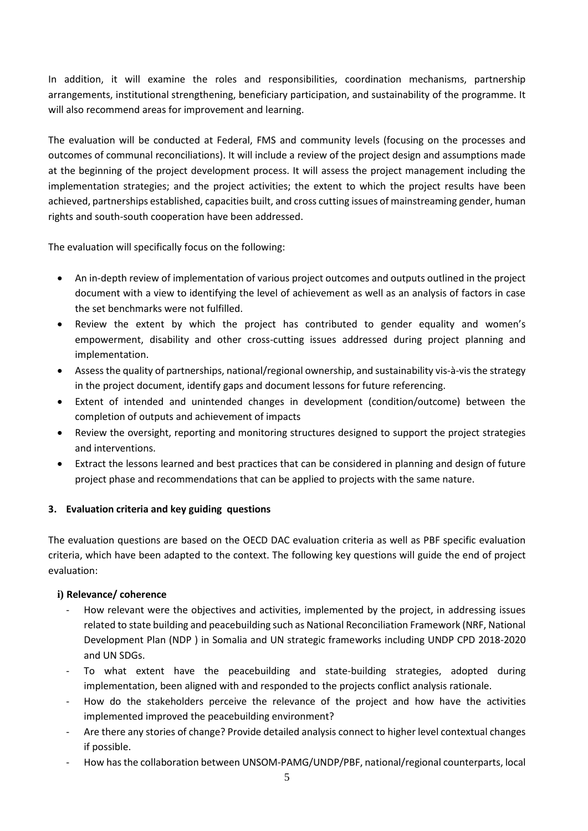In addition, it will examine the roles and responsibilities, coordination mechanisms, partnership arrangements, institutional strengthening, beneficiary participation, and sustainability of the programme. It will also recommend areas for improvement and learning.

The evaluation will be conducted at Federal, FMS and community levels (focusing on the processes and outcomes of communal reconciliations). It will include a review of the project design and assumptions made at the beginning of the project development process. It will assess the project management including the implementation strategies; and the project activities; the extent to which the project results have been achieved, partnerships established, capacities built, and cross cutting issues of mainstreaming gender, human rights and south-south cooperation have been addressed.

The evaluation will specifically focus on the following:

- An in-depth review of implementation of various project outcomes and outputs outlined in the project document with a view to identifying the level of achievement as well as an analysis of factors in case the set benchmarks were not fulfilled.
- Review the extent by which the project has contributed to gender equality and women's empowerment, disability and other cross-cutting issues addressed during project planning and implementation.
- Assess the quality of partnerships, national/regional ownership, and sustainability vis‐à‐vis the strategy in the project document, identify gaps and document lessons for future referencing.
- Extent of intended and unintended changes in development (condition/outcome) between the completion of outputs and achievement of impacts
- Review the oversight, reporting and monitoring structures designed to support the project strategies and interventions.
- Extract the lessons learned and best practices that can be considered in planning and design of future project phase and recommendations that can be applied to projects with the same nature.

## **3. Evaluation criteria and key guiding questions**

The evaluation questions are based on the OECD DAC evaluation criteria as well as PBF specific evaluation criteria, which have been adapted to the context. The following key questions will guide the end of project evaluation:

## **i) Relevance/ coherence**

- How relevant were the objectives and activities, implemented by the project, in addressing issues related to state building and peacebuilding such as National Reconciliation Framework (NRF, National Development Plan (NDP ) in Somalia and UN strategic frameworks including UNDP CPD 2018-2020 and UN SDGs.
- To what extent have the peacebuilding and state-building strategies, adopted during implementation, been aligned with and responded to the projects conflict analysis rationale.
- How do the stakeholders perceive the relevance of the project and how have the activities implemented improved the peacebuilding environment?
- Are there any stories of change? Provide detailed analysis connect to higher level contextual changes if possible.
- How has the collaboration between UNSOM-PAMG/UNDP/PBF, national/regional counterparts, local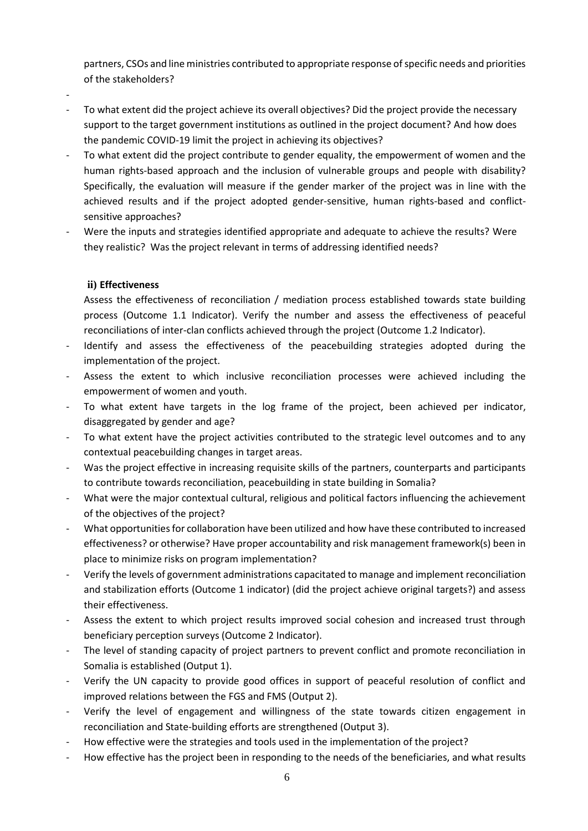partners, CSOs and line ministries contributed to appropriate response of specific needs and priorities of the stakeholders?

- -
- To what extent did the project achieve its overall objectives? Did the project provide the necessary support to the target government institutions as outlined in the project document? And how does the pandemic COVID-19 limit the project in achieving its objectives?
- To what extent did the project contribute to gender equality, the empowerment of women and the human rights-based approach and the inclusion of vulnerable groups and people with disability? Specifically, the evaluation will measure if the gender marker of the project was in line with the achieved results and if the project adopted gender-sensitive, human rights-based and conflictsensitive approaches?
- Were the inputs and strategies identified appropriate and adequate to achieve the results? Were they realistic? Was the project relevant in terms of addressing identified needs?

## **ii) Effectiveness**

Assess the effectiveness of reconciliation / mediation process established towards state building process (Outcome 1.1 Indicator). Verify the number and assess the effectiveness of peaceful reconciliations of inter-clan conflicts achieved through the project (Outcome 1.2 Indicator).

- Identify and assess the effectiveness of the peacebuilding strategies adopted during the implementation of the project.
- Assess the extent to which inclusive reconciliation processes were achieved including the empowerment of women and youth.
- To what extent have targets in the log frame of the project, been achieved per indicator, disaggregated by gender and age?
- To what extent have the project activities contributed to the strategic level outcomes and to any contextual peacebuilding changes in target areas.
- Was the project effective in increasing requisite skills of the partners, counterparts and participants to contribute towards reconciliation, peacebuilding in state building in Somalia?
- What were the major contextual cultural, religious and political factors influencing the achievement of the objectives of the project?
- What opportunities for collaboration have been utilized and how have these contributed to increased effectiveness? or otherwise? Have proper accountability and risk management framework(s) been in place to minimize risks on program implementation?
- Verify the levels of government administrations capacitated to manage and implement reconciliation and stabilization efforts (Outcome 1 indicator) (did the project achieve original targets?) and assess their effectiveness.
- Assess the extent to which project results improved social cohesion and increased trust through beneficiary perception surveys (Outcome 2 Indicator).
- The level of standing capacity of project partners to prevent conflict and promote reconciliation in Somalia is established (Output 1).
- Verify the UN capacity to provide good offices in support of peaceful resolution of conflict and improved relations between the FGS and FMS (Output 2).
- Verify the level of engagement and willingness of the state towards citizen engagement in reconciliation and State-building efforts are strengthened (Output 3).
- How effective were the strategies and tools used in the implementation of the project?
- How effective has the project been in responding to the needs of the beneficiaries, and what results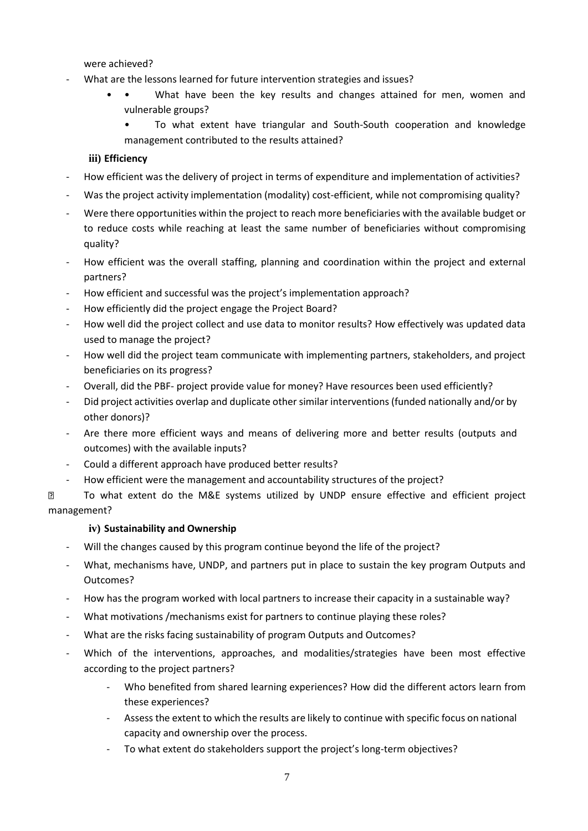were achieved?

- What are the lessons learned for future intervention strategies and issues?
	- • What have been the key results and changes attained for men, women and vulnerable groups?
		- To what extent have triangular and South-South cooperation and knowledge management contributed to the results attained?

#### **iii) Efficiency**

- How efficient was the delivery of project in terms of expenditure and implementation of activities?
- Was the project activity implementation (modality) cost-efficient, while not compromising quality?
- Were there opportunities within the project to reach more beneficiaries with the available budget or to reduce costs while reaching at least the same number of beneficiaries without compromising quality?
- How efficient was the overall staffing, planning and coordination within the project and external partners?
- How efficient and successful was the project's implementation approach?
- How efficiently did the project engage the Project Board?
- How well did the project collect and use data to monitor results? How effectively was updated data used to manage the project?
- How well did the project team communicate with implementing partners, stakeholders, and project beneficiaries on its progress?
- Overall, did the PBF- project provide value for money? Have resources been used efficiently?
- Did project activities overlap and duplicate other similar interventions (funded nationally and/or by other donors)?
- Are there more efficient ways and means of delivering more and better results (outputs and outcomes) with the available inputs?
- Could a different approach have produced better results?
- How efficient were the management and accountability structures of the project?

 $\overline{2}$ To what extent do the M&E systems utilized by UNDP ensure effective and efficient project management?

#### **iv) Sustainability and Ownership**

- Will the changes caused by this program continue beyond the life of the project?
- What, mechanisms have, UNDP, and partners put in place to sustain the key program Outputs and Outcomes?
- How has the program worked with local partners to increase their capacity in a sustainable way?
- What motivations /mechanisms exist for partners to continue playing these roles?
- What are the risks facing sustainability of program Outputs and Outcomes?
- Which of the interventions, approaches, and modalities/strategies have been most effective according to the project partners?
	- Who benefited from shared learning experiences? How did the different actors learn from these experiences?
	- Assess the extent to which the results are likely to continue with specific focus on national capacity and ownership over the process.
	- To what extent do stakeholders support the project's long-term objectives?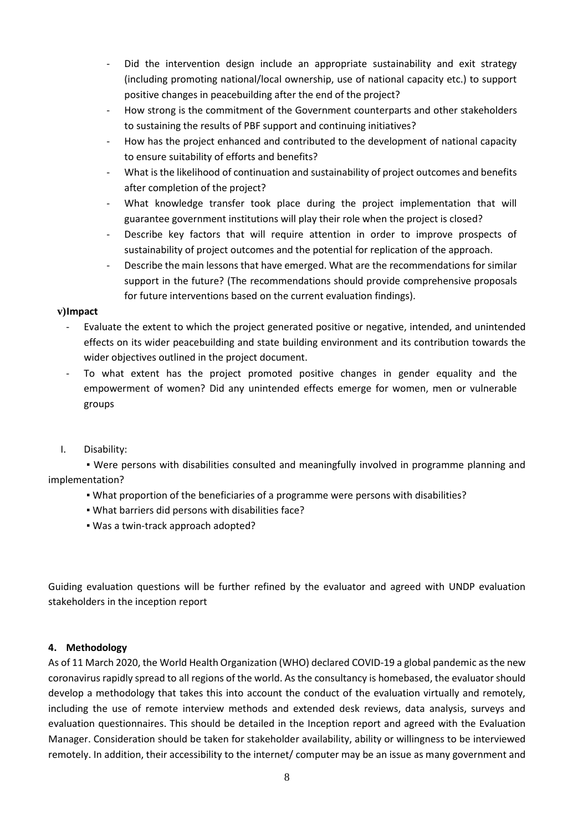- Did the intervention design include an appropriate sustainability and exit strategy (including promoting national/local ownership, use of national capacity etc.) to support positive changes in peacebuilding after the end of the project?
- How strong is the commitment of the Government counterparts and other stakeholders to sustaining the results of PBF support and continuing initiatives?
- How has the project enhanced and contributed to the development of national capacity to ensure suitability of efforts and benefits?
- What is the likelihood of continuation and sustainability of project outcomes and benefits after completion of the project?
- What knowledge transfer took place during the project implementation that will guarantee government institutions will play their role when the project is closed?
- Describe key factors that will require attention in order to improve prospects of sustainability of project outcomes and the potential for replication of the approach.
- Describe the main lessons that have emerged. What are the recommendations for similar support in the future? (The recommendations should provide comprehensive proposals for future interventions based on the current evaluation findings).

#### **v)Impact**

- Evaluate the extent to which the project generated positive or negative, intended, and unintended effects on its wider peacebuilding and state building environment and its contribution towards the wider objectives outlined in the project document.
- To what extent has the project promoted positive changes in gender equality and the empowerment of women? Did any unintended effects emerge for women, men or vulnerable groups

## I. Disability:

**▪** Were persons with disabilities consulted and meaningfully involved in programme planning and implementation?

- What proportion of the beneficiaries of a programme were persons with disabilities?
- What barriers did persons with disabilities face?
- Was a twin-track approach adopted?

Guiding evaluation questions will be further refined by the evaluator and agreed with UNDP evaluation stakeholders in the inception report

## **4. Methodology**

As of 11 March 2020, the World Health Organization (WHO) declared COVID-19 a global pandemic as the new coronavirus rapidly spread to all regions of the world. As the consultancy is homebased, the evaluator should develop a methodology that takes this into account the conduct of the evaluation virtually and remotely, including the use of remote interview methods and extended desk reviews, data analysis, surveys and evaluation questionnaires. This should be detailed in the Inception report and agreed with the Evaluation Manager. Consideration should be taken for stakeholder availability, ability or willingness to be interviewed remotely. In addition, their accessibility to the internet/ computer may be an issue as many government and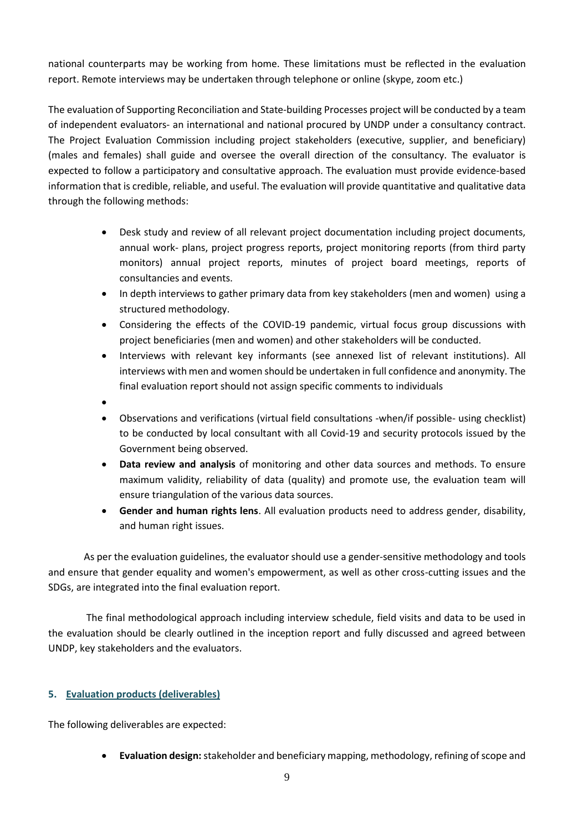national counterparts may be working from home. These limitations must be reflected in the evaluation report. Remote interviews may be undertaken through telephone or online (skype, zoom etc.)

The evaluation of Supporting Reconciliation and State-building Processes project will be conducted by a team of independent evaluators- an international and national procured by UNDP under a consultancy contract. The Project Evaluation Commission including project stakeholders (executive, supplier, and beneficiary) (males and females) shall guide and oversee the overall direction of the consultancy. The evaluator is expected to follow a participatory and consultative approach. The evaluation must provide evidence-based information that is credible, reliable, and useful. The evaluation will provide quantitative and qualitative data through the following methods:

- Desk study and review of all relevant project documentation including project documents, annual work- plans, project progress reports, project monitoring reports (from third party monitors) annual project reports, minutes of project board meetings, reports of consultancies and events.
- In depth interviews to gather primary data from key stakeholders (men and women) using a structured methodology.
- Considering the effects of the COVID-19 pandemic, virtual focus group discussions with project beneficiaries (men and women) and other stakeholders will be conducted.
- Interviews with relevant key informants (see annexed list of relevant institutions). All interviews with men and women should be undertaken in full confidence and anonymity. The final evaluation report should not assign specific comments to individuals
- •
- Observations and verifications (virtual field consultations -when/if possible- using checklist) to be conducted by local consultant with all Covid-19 and security protocols issued by the Government being observed.
- **Data review and analysis** of monitoring and other data sources and methods. To ensure maximum validity, reliability of data (quality) and promote use, the evaluation team will ensure triangulation of the various data sources.
- **Gender and human rights lens**. All evaluation products need to address gender, disability, and human right issues.

As per the evaluation guidelines, the evaluator should use a gender-sensitive methodology and tools and ensure that gender equality and women's empowerment, as well as other cross-cutting issues and the SDGs, are integrated into the final evaluation report.

The final methodological approach including interview schedule, field visits and data to be used in the evaluation should be clearly outlined in the inception report and fully discussed and agreed between UNDP, key stakeholders and the evaluators.

## **5. Evaluation products (deliverables)**

The following deliverables are expected:

• **Evaluation design:**stakeholder and beneficiary mapping, methodology, refining of scope and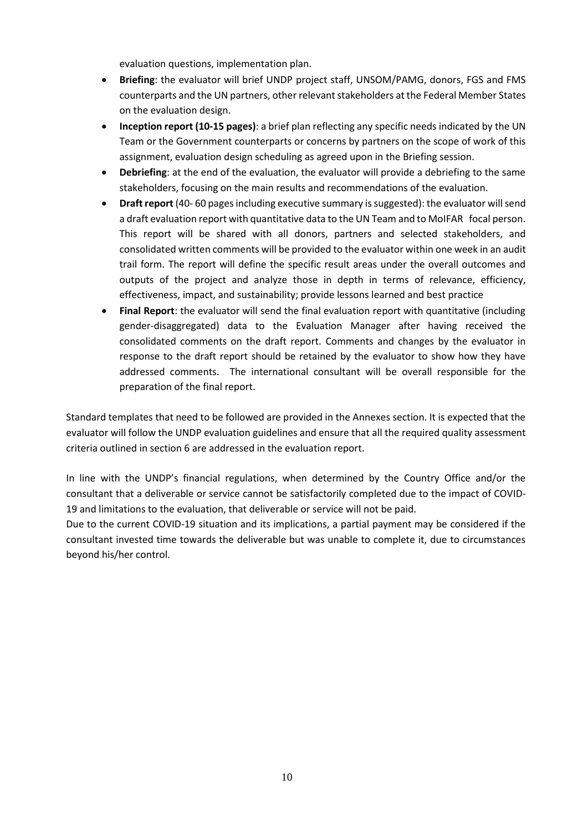evaluation questions, implementation plan.

- **Briefing**: the evaluator will brief UNDP project staff, UNSOM/PAMG, donors, FGS and FMS counterparts and the UN partners, other relevant stakeholders at the Federal Member States on the evaluation design.
- **Inception report (10-15 pages)**: a brief plan reflecting any specific needs indicated by the UN Team or the Government counterparts or concerns by partners on the scope of work of this assignment, evaluation design scheduling as agreed upon in the Briefing session.
- **Debriefing**: at the end of the evaluation, the evaluator will provide a debriefing to the same stakeholders, focusing on the main results and recommendations of the evaluation.
- **Draft report** (40- 60 pages including executive summary is suggested): the evaluator will send a draft evaluation report with quantitative data to the UN Team and to MoIFAR focal person. This report will be shared with all donors, partners and selected stakeholders, and consolidated written comments will be provided to the evaluator within one week in an audit trail form. The report will define the specific result areas under the overall outcomes and outputs of the project and analyze those in depth in terms of relevance, efficiency, effectiveness, impact, and sustainability; provide lessons learned and best practice
- **Final Report**: the evaluator will send the final evaluation report with quantitative (including gender‐disaggregated) data to the Evaluation Manager after having received the consolidated comments on the draft report. Comments and changes by the evaluator in response to the draft report should be retained by the evaluator to show how they have addressed comments. The international consultant will be overall responsible for the preparation of the final report.

Standard templates that need to be followed are provided in the Annexes section. It is expected that the evaluator will follow the UNDP evaluation guidelines and ensure that all the required quality assessment criteria outlined in section 6 are addressed in the evaluation report.

In line with the UNDP's financial regulations, when determined by the Country Office and/or the consultant that a deliverable or service cannot be satisfactorily completed due to the impact of COVID-19 and limitations to the evaluation, that deliverable or service will not be paid.

Due to the current COVID-19 situation and its implications, a partial payment may be considered if the consultant invested time towards the deliverable but was unable to complete it, due to circumstances beyond his/her control.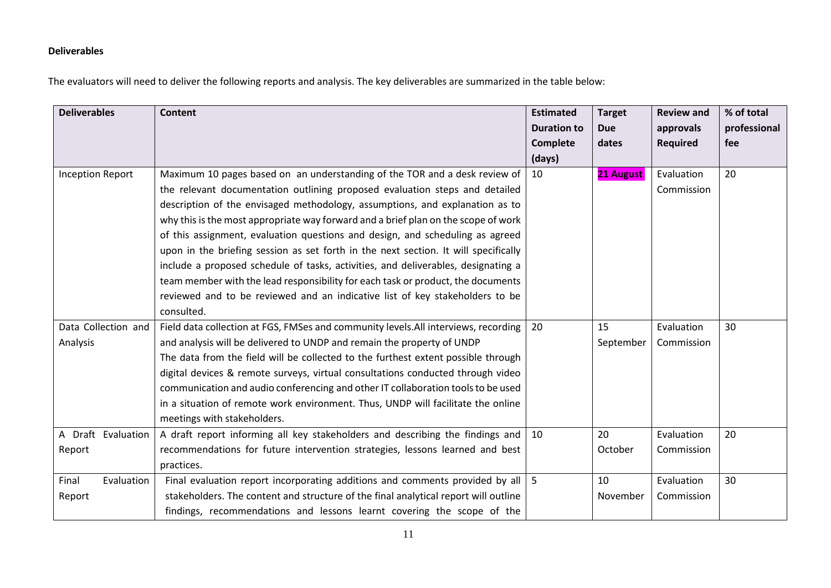## **Deliverables**

The evaluators will need to deliver the following reports and analysis. The key deliverables are summarized in the table below:

| <b>Deliverables</b>     | <b>Content</b>                                                                      | <b>Estimated</b>   | <b>Target</b> | <b>Review and</b> | % of total   |
|-------------------------|-------------------------------------------------------------------------------------|--------------------|---------------|-------------------|--------------|
|                         |                                                                                     | <b>Duration to</b> | <b>Due</b>    | approvals         | professional |
|                         |                                                                                     | <b>Complete</b>    | dates         | <b>Required</b>   | fee          |
|                         |                                                                                     | (days)             |               |                   |              |
| <b>Inception Report</b> | Maximum 10 pages based on an understanding of the TOR and a desk review of          | 10                 | 21 August     | Evaluation        | 20           |
|                         | the relevant documentation outlining proposed evaluation steps and detailed         |                    |               | Commission        |              |
|                         | description of the envisaged methodology, assumptions, and explanation as to        |                    |               |                   |              |
|                         | why this is the most appropriate way forward and a brief plan on the scope of work  |                    |               |                   |              |
|                         | of this assignment, evaluation questions and design, and scheduling as agreed       |                    |               |                   |              |
|                         | upon in the briefing session as set forth in the next section. It will specifically |                    |               |                   |              |
|                         | include a proposed schedule of tasks, activities, and deliverables, designating a   |                    |               |                   |              |
|                         | team member with the lead responsibility for each task or product, the documents    |                    |               |                   |              |
|                         | reviewed and to be reviewed and an indicative list of key stakeholders to be        |                    |               |                   |              |
|                         | consulted.                                                                          |                    |               |                   |              |
| Data Collection and     | Field data collection at FGS, FMSes and community levels. All interviews, recording | 20                 | 15            | Evaluation        | 30           |
| Analysis                | and analysis will be delivered to UNDP and remain the property of UNDP              |                    | September     | Commission        |              |
|                         | The data from the field will be collected to the furthest extent possible through   |                    |               |                   |              |
|                         | digital devices & remote surveys, virtual consultations conducted through video     |                    |               |                   |              |
|                         | communication and audio conferencing and other IT collaboration tools to be used    |                    |               |                   |              |
|                         | in a situation of remote work environment. Thus, UNDP will facilitate the online    |                    |               |                   |              |
|                         | meetings with stakeholders.                                                         |                    |               |                   |              |
| A Draft Evaluation      | A draft report informing all key stakeholders and describing the findings and       | 10                 | 20            | Evaluation        | 20           |
| Report                  | recommendations for future intervention strategies, lessons learned and best        |                    | October       | Commission        |              |
|                         | practices.                                                                          |                    |               |                   |              |
| Final<br>Evaluation     | Final evaluation report incorporating additions and comments provided by all        | 5                  | 10            | Evaluation        | 30           |
| Report                  | stakeholders. The content and structure of the final analytical report will outline |                    | November      | Commission        |              |
|                         | findings, recommendations and lessons learnt covering the scope of the              |                    |               |                   |              |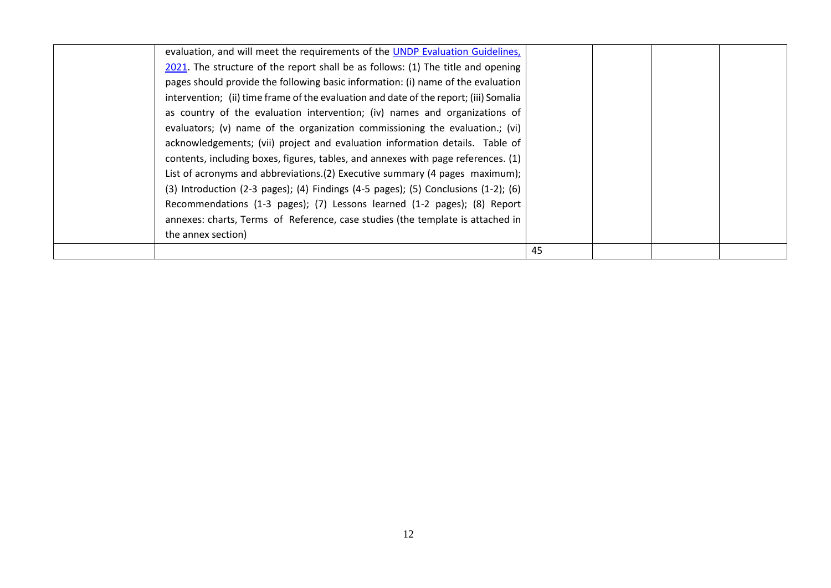| Recommendations (1-3 pages); (7) Lessons learned (1-2 pages); (8) Report                                                                                                  |  |
|---------------------------------------------------------------------------------------------------------------------------------------------------------------------------|--|
| List of acronyms and abbreviations.(2) Executive summary (4 pages maximum);<br>(3) Introduction (2-3 pages); (4) Findings (4-5 pages); (5) Conclusions (1-2); (6)         |  |
| acknowledgements; (vii) project and evaluation information details. Table of<br>contents, including boxes, figures, tables, and annexes with page references. (1)         |  |
| as country of the evaluation intervention; (iv) names and organizations of<br>evaluators; (v) name of the organization commissioning the evaluation.; (vi)                |  |
| pages should provide the following basic information: (i) name of the evaluation<br>intervention; (ii) time frame of the evaluation and date of the report; (iii) Somalia |  |
| evaluation, and will meet the requirements of the UNDP Evaluation Guidelines,<br>2021. The structure of the report shall be as follows: (1) The title and opening         |  |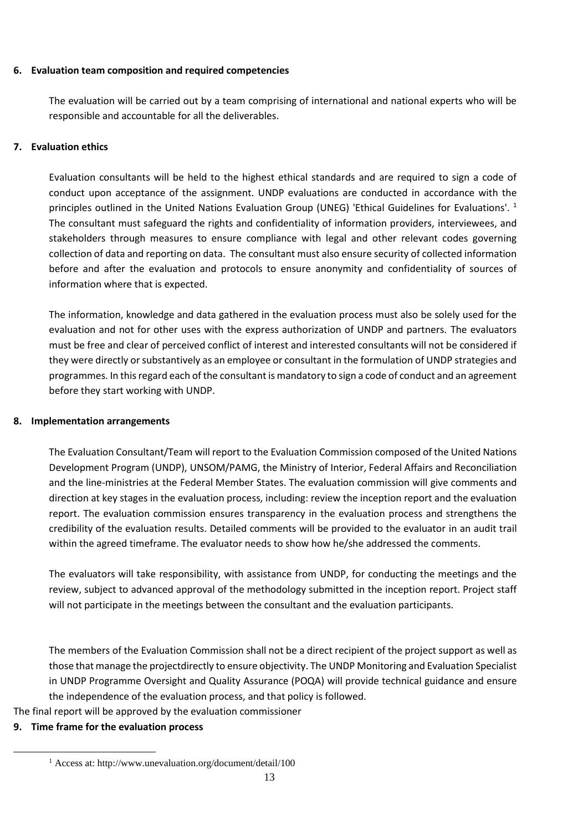#### **6. Evaluation team composition and required competencies**

The evaluation will be carried out by a team comprising of international and national experts who will be responsible and accountable for all the deliverables.

## **7. Evaluation ethics**

Evaluation consultants will be held to the highest ethical standards and are required to sign a code of conduct upon acceptance of the assignment. UNDP evaluations are conducted in accordance with the principles outlined in the United Nations Evaluation Group (UNEG) 'Ethical Guidelines for Evaluations'. <sup>1</sup> The consultant must safeguard the rights and confidentiality of information providers, interviewees, and stakeholders through measures to ensure compliance with legal and other relevant codes governing collection of data and reporting on data. The consultant must also ensure security of collected information before and after the evaluation and protocols to ensure anonymity and confidentiality of sources of information where that is expected.

The information, knowledge and data gathered in the evaluation process must also be solely used for the evaluation and not for other uses with the express authorization of UNDP and partners. The evaluators must be free and clear of perceived conflict of interest and interested consultants will not be considered if they were directly or substantively as an employee or consultant in the formulation of UNDP strategies and programmes. In this regard each of the consultant is mandatory to sign a code of conduct and an agreement before they start working with UNDP.

## **8. Implementation arrangements**

The Evaluation Consultant/Team will report to the Evaluation Commission composed of the United Nations Development Program (UNDP), UNSOM/PAMG, the Ministry of Interior, Federal Affairs and Reconciliation and the line-ministries at the Federal Member States. The evaluation commission will give comments and direction at key stages in the evaluation process, including: review the inception report and the evaluation report. The evaluation commission ensures transparency in the evaluation process and strengthens the credibility of the evaluation results. Detailed comments will be provided to the evaluator in an audit trail within the agreed timeframe. The evaluator needs to show how he/she addressed the comments.

The evaluators will take responsibility, with assistance from UNDP, for conducting the meetings and the review, subject to advanced approval of the methodology submitted in the inception report. Project staff will not participate in the meetings between the consultant and the evaluation participants.

The members of the Evaluation Commission shall not be a direct recipient of the project support as well as those that manage the projectdirectly to ensure objectivity. The UNDP Monitoring and Evaluation Specialist in UNDP Programme Oversight and Quality Assurance (POQA) will provide technical guidance and ensure the independence of the evaluation process, and that policy is followed.

The final report will be approved by the evaluation commissioner

## **9. Time frame for the evaluation process**

<sup>1</sup> Access at: http://www.unevaluation.org/document/detail/100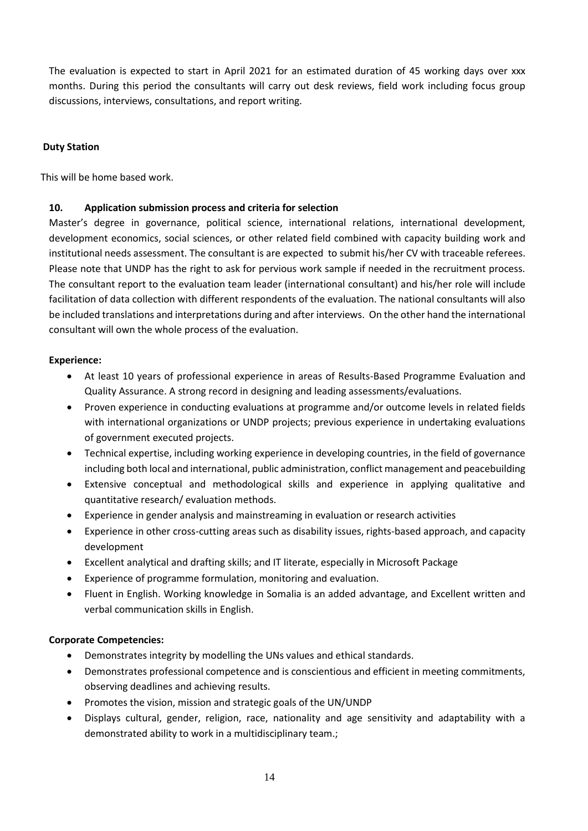The evaluation is expected to start in April 2021 for an estimated duration of 45 working days over xxx months. During this period the consultants will carry out desk reviews, field work including focus group discussions, interviews, consultations, and report writing.

#### **Duty Station**

This will be home based work.

#### **10. Application submission process and criteria for selection**

Master's degree in governance, political science, international relations, international development, development economics, social sciences, or other related field combined with capacity building work and institutional needs assessment. The consultant is are expected to submit his/her CV with traceable referees. Please note that UNDP has the right to ask for pervious work sample if needed in the recruitment process. The consultant report to the evaluation team leader (international consultant) and his/her role will include facilitation of data collection with different respondents of the evaluation. The national consultants will also be included translations and interpretations during and after interviews. On the other hand the international consultant will own the whole process of the evaluation.

#### **Experience:**

- At least 10 years of professional experience in areas of Results-Based Programme Evaluation and Quality Assurance. A strong record in designing and leading assessments/evaluations.
- Proven experience in conducting evaluations at programme and/or outcome levels in related fields with international organizations or UNDP projects; previous experience in undertaking evaluations of government executed projects.
- Technical expertise, including working experience in developing countries, in the field of governance including both local and international, public administration, conflict management and peacebuilding
- Extensive conceptual and methodological skills and experience in applying qualitative and quantitative research/ evaluation methods.
- Experience in gender analysis and mainstreaming in evaluation or research activities
- Experience in other cross-cutting areas such as disability issues, rights-based approach, and capacity development
- Excellent analytical and drafting skills; and IT literate, especially in Microsoft Package
- Experience of programme formulation, monitoring and evaluation.
- Fluent in English. Working knowledge in Somalia is an added advantage, and Excellent written and verbal communication skills in English.

## **Corporate Competencies:**

- Demonstrates integrity by modelling the UNs values and ethical standards.
- Demonstrates professional competence and is conscientious and efficient in meeting commitments, observing deadlines and achieving results.
- Promotes the vision, mission and strategic goals of the UN/UNDP
- Displays cultural, gender, religion, race, nationality and age sensitivity and adaptability with a demonstrated ability to work in a multidisciplinary team.;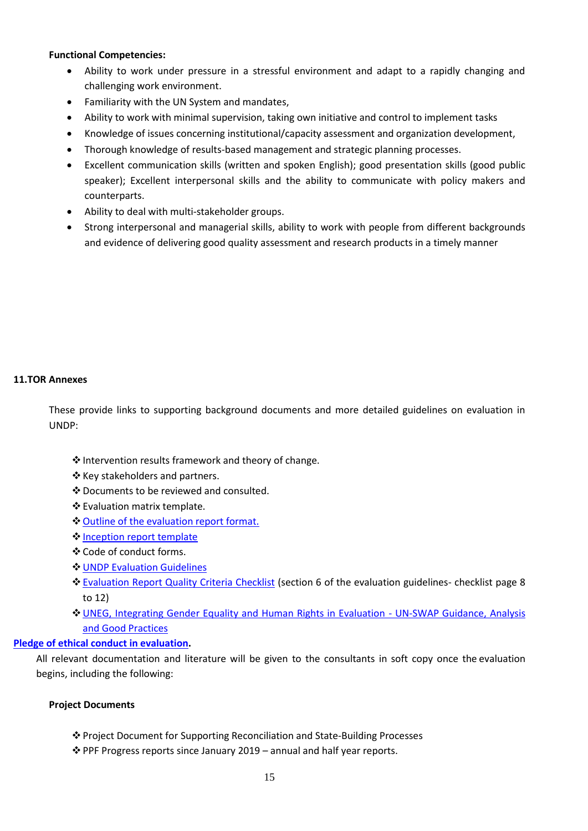#### **Functional Competencies:**

- Ability to work under pressure in a stressful environment and adapt to a rapidly changing and challenging work environment.
- Familiarity with the UN System and mandates,
- Ability to work with minimal supervision, taking own initiative and control to implement tasks
- Knowledge of issues concerning institutional/capacity assessment and organization development,
- Thorough knowledge of results-based management and strategic planning processes.
- Excellent communication skills (written and spoken English); good presentation skills (good public speaker); Excellent interpersonal skills and the ability to communicate with policy makers and counterparts.
- Ability to deal with multi-stakeholder groups.
- Strong interpersonal and managerial skills, ability to work with people from different backgrounds and evidence of delivering good quality assessment and research products in a timely manner

#### **11.TOR Annexes**

These provide links to supporting background documents and more detailed guidelines on evaluation in UNDP:

- ❖Intervention results framework and theory of change.
- ❖Key stakeholders and partners.
- ❖Documents to be reviewed and consulted.
- ❖Evaluation matrix template.
- ❖[Outline of the evaluation report format.](http://web.undp.org/evaluation/guideline/documents/Template/section-4/Sec%204%20UNDP%20evaluation%20report%20template%20and%20quality%20standards.docx)
- ❖[Inception report template](http://web.undp.org/evaluation/guideline/documents/Template/section-4/Sec%204%20Inception%20Report%20content.docx)
- ❖Code of conduct forms.
- ❖[UNDP Evaluation Guidelines](http://web.undp.org/evaluation/guideline/index.shtml)
- ❖[Evaluation Report Quality Criteria Checklist](http://web.undp.org/evaluation/guideline/documents/PDF/section-6.pdf) (section 6 of the evaluation guidelines- checklist page 8 to 12)
- ❖[UNEG, Integrating Gender Equality and Human Rights in Evaluation -](http://www.unevaluation.org/document/detail/1452) UN-SWAP Guidance, Analysis [and Good Practices](http://www.unevaluation.org/document/detail/1452)

#### **[Pledge of ethical conduct in evaluation.](file:///C:/Users/Ghada.alsous/Downloads/2020%20Ethical%20Guidelines%20for%20Evaluation-Pledge.pdf)**

All relevant documentation and literature will be given to the consultants in soft copy once the evaluation begins, including the following:

#### **Project Documents**

- ❖Project Document for Supporting Reconciliation and State-Building Processes
- ❖PPF Progress reports since January 2019 annual and half year reports.